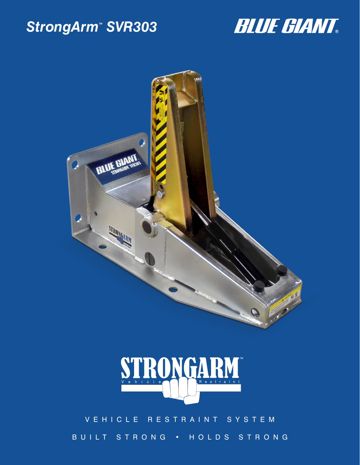## StrongArm<sup>™</sup> SVR303







### VEHICLE RESTRAINT SYSTEM BUILT STRONG • HOLDS STRONG